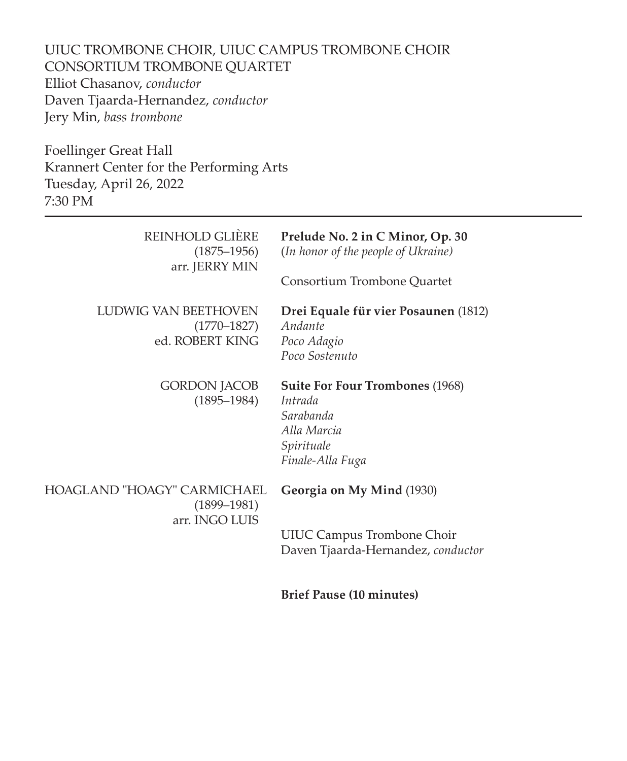UIUC TROMBONE CHOIR, UIUC CAMPUS TROMBONE CHOIR CONSORTIUM TROMBONE QUARTET Elliot Chasanov, *conductor* Daven Tjaarda-Hernandez, *conductor* Jery Min, *bass trombone*

Foellinger Great Hall Krannert Center for the Performing Arts Tuesday, April 26, 2022 7:30 PM

| REINHOLD GLIÈRE<br>$(1875 - 1956)$<br>arr. JERRY MIN             | Prelude No. 2 in C Minor, Op. 30<br>(In honor of the people of Ukraine)<br>Consortium Trombone Quartet          |
|------------------------------------------------------------------|-----------------------------------------------------------------------------------------------------------------|
| LUDWIG VAN BEETHOVEN<br>$(1770 - 1827)$<br>ed. ROBERT KING       | Drei Equale für vier Posaunen (1812)<br>Andante<br>Poco Adagio<br>Poco Sostenuto                                |
| GORDON JACOB<br>$(1895 - 1984)$                                  | <b>Suite For Four Trombones (1968)</b><br>Intrada<br>Sarabanda<br>Alla Marcia<br>Spirituale<br>Finale-Alla Fuga |
| HOAGLAND "HOAGY" CARMICHAEL<br>$(1899 - 1981)$<br>arr. INGO LUIS | Georgia on My Mind (1930)                                                                                       |
|                                                                  | <b>UIUC Campus Trombone Choir</b><br>Daven Tjaarda-Hernandez, conductor                                         |
|                                                                  | <b>Brief Pause (10 minutes)</b>                                                                                 |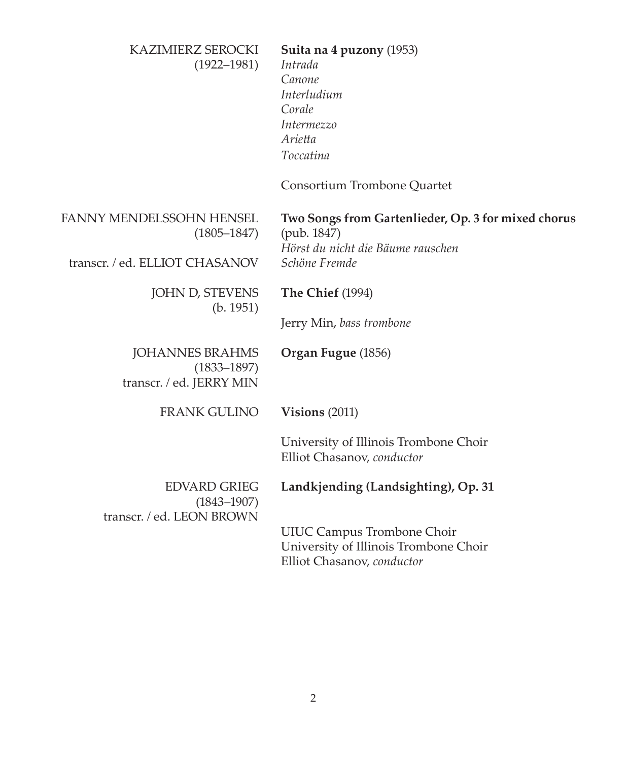| KAZIMIERZ SEROCKI<br>$(1922 - 1981)$                                  | Suita na 4 puzony (1953)<br>Intrada<br>Canone<br>Interludium<br>Corale<br>Intermezzo<br>Arietta<br>Toccatina<br>Consortium Trombone Quartet |
|-----------------------------------------------------------------------|---------------------------------------------------------------------------------------------------------------------------------------------|
| FANNY MENDELSSOHN HENSEL<br>$(1805 - 1847)$                           | Two Songs from Gartenlieder, Op. 3 for mixed chorus<br>(pub. 1847)                                                                          |
| transcr. / ed. ELLIOT CHASANOV                                        | Hörst du nicht die Bäume rauschen<br>Schöne Fremde                                                                                          |
| JOHN D, STEVENS<br>(b. 1951)                                          | <b>The Chief (1994)</b>                                                                                                                     |
|                                                                       | Jerry Min, bass trombone                                                                                                                    |
| <b>JOHANNES BRAHMS</b><br>$(1833 - 1897)$<br>transcr. / ed. JERRY MIN | Organ Fugue (1856)                                                                                                                          |
| <b>FRANK GULINO</b>                                                   | Visions $(2011)$                                                                                                                            |
|                                                                       | University of Illinois Trombone Choir<br>Elliot Chasanov, conductor                                                                         |
| <b>EDVARD GRIEG</b><br>$(1843 - 1907)$<br>transcr. / ed. LEON BROWN   | Landkjending (Landsighting), Op. 31                                                                                                         |
|                                                                       | <b>UIUC Campus Trombone Choir</b><br>University of Illinois Trombone Choir<br>Elliot Chasanov, conductor                                    |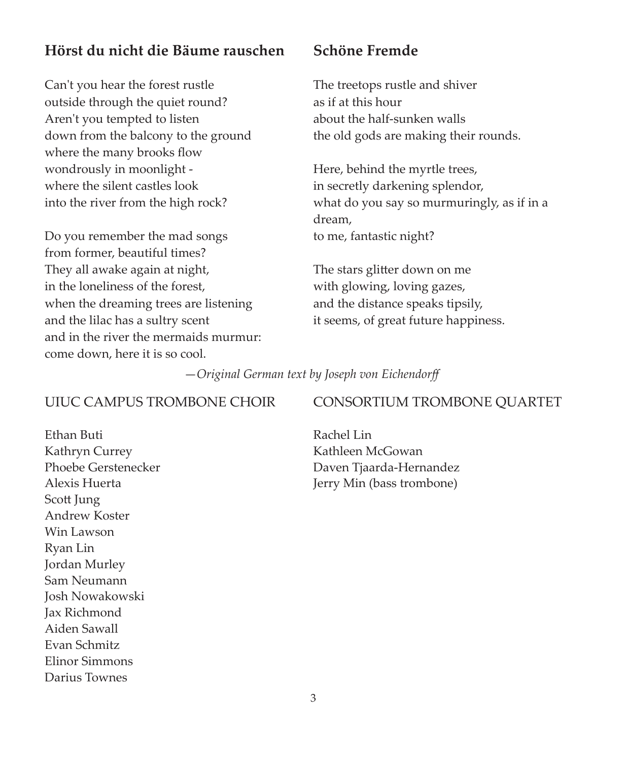# **Hörst du nicht die Bäume rauschen**

Can't you hear the forest rustle outside through the quiet round? Aren't you tempted to listen down from the balcony to the ground where the many brooks flow wondrously in moonlight where the silent castles look into the river from the high rock?

Do you remember the mad songs from former, beautiful times? They all awake again at night, in the loneliness of the forest, when the dreaming trees are listening and the lilac has a sultry scent and in the river the mermaids murmur: come down, here it is so cool.

## **Schöne Fremde**

The treetops rustle and shiver as if at this hour about the half-sunken walls the old gods are making their rounds.

Here, behind the myrtle trees, in secretly darkening splendor, what do you say so murmuringly, as if in a dream, to me, fantastic night?

The stars glitter down on me with glowing, loving gazes, and the distance speaks tipsily, it seems, of great future happiness.

—*Original German text by Joseph von Eichendorff*

## UIUC CAMPUS TROMBONE CHOIR

Ethan Buti Kathryn Currey Phoebe Gerstenecker Alexis Huerta Scott Jung Andrew Koster Win Lawson Ryan Lin Jordan Murley Sam Neumann Josh Nowakowski Jax Richmond Aiden Sawall Evan Schmitz Elinor Simmons Darius Townes

## CONSORTIUM TROMBONE QUARTET

Rachel Lin Kathleen McGowan Daven Tjaarda-Hernandez Jerry Min (bass trombone)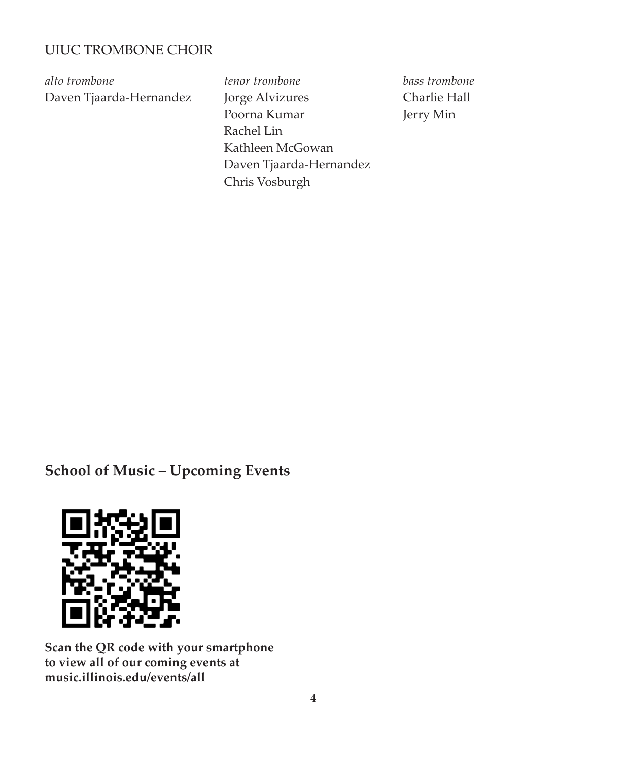## UIUC TROMBONE CHOIR

*alto trombone* Daven Tjaarda-Hernandez *tenor trombone* Jorge Alvizures Poorna Kumar Rachel Lin Kathleen McGowan Daven Tjaarda-Hernandez Chris Vosburgh

*bass trombone* Charlie Hall Jerry Min

# **School of Music – Upcoming Events**



**Scan the QR code with your smartphone to view all of our coming events at music.illinois.edu/events/all**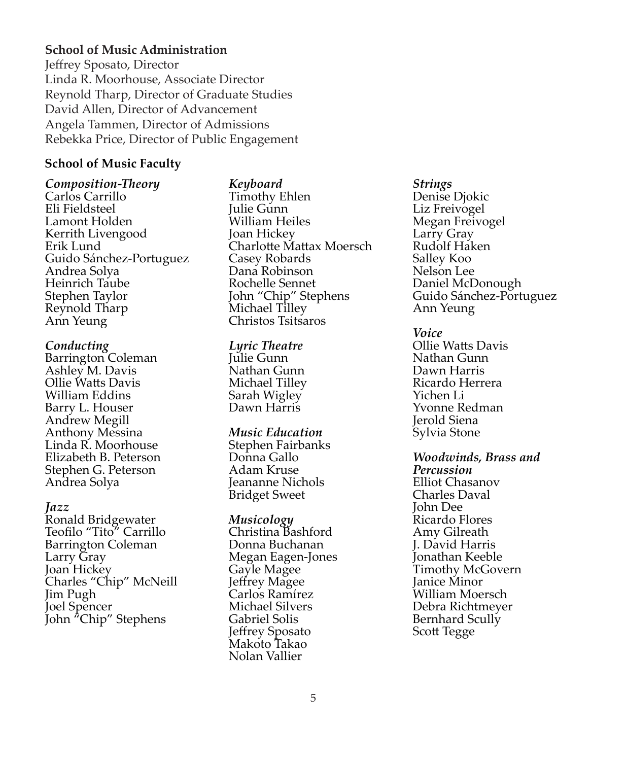## **School of Music Administration**

Jeffrey Sposato, Director Linda R. Moorhouse, Associate Director Reynold Tharp, Director of Graduate Studies David Allen, Director of Advancement Angela Tammen, Director of Admissions Rebekka Price, Director of Public Engagement

## **School of Music Faculty**

*Composition-Theory* Carlos Carrillo Eli Fieldsteel Lamont Holden Kerrith Livengood Erik Lund Guido Sánchez-Portuguez Andrea Solya Heinrich Taube Stephen Taylor Reynold Tharp Ann Yeung

### *Conducting*

Barrington Coleman Ashley M. Davis Ollie Watts Davis William Eddins Barry L. Houser Andrew Megill Anthony Messina Linda R. Moorhouse Elizabeth B. Peterson Stephen G. Peterson Andrea Solya

### *Jazz*

Ronald Bridgewater Teofilo "Tito" Carrillo Barrington Coleman Larry Gray Joan Hickey Charles "Chip" McNeill Jim Pugh Joel Spencer John "Chip" Stephens

## *Keyboard*

Timothy Ehlen Julie Gunn William Heiles Joan Hickey Charlotte Mattax Moersch Casey Robards Dana Robinson Rochelle Sennet John "Chip" Stephens Michael Tilley Christos Tsitsaros

#### *Lyric Theatre*

Julie Gunn Nathan Gunn Michael Tilley Sarah Wigley Dawn Harris

### *Music Education*

Stephen Fairbanks Donna Gallo Adam Kruse Jeananne Nichols Bridget Sweet

### *Musicology*

Christina Bashford Donna Buchanan Megan Eagen-Jones Gayle Magee Jeffrey Magee Carlos Ramírez Michael Silvers Gabriel Solis Jeffrey Sposato Makoto Takao Nolan Vallier

### *Strings*

Denise Djokic Liz Freivogel Megan Freivogel Larry Gray Rudolf Haken Salley Koo Nelson Lee Daniel McDonough Guido Sánchez-Portuguez Ann Yeung

*Voice* Ollie Watts Davis Nathan Gunn Dawn Harris Ricardo Herrera Yichen Li Yvonne Redman Jerold Siena Sylvia Stone

*Woodwinds, Brass and Percussion* Elliot Chasanov Charles Daval John Dee Ricardo Flores Amy Gilreath J. David Harris Jonathan Keeble Timothy McGovern Janice Minor William Moersch Debra Richtmeyer Bernhard Scully Scott Tegge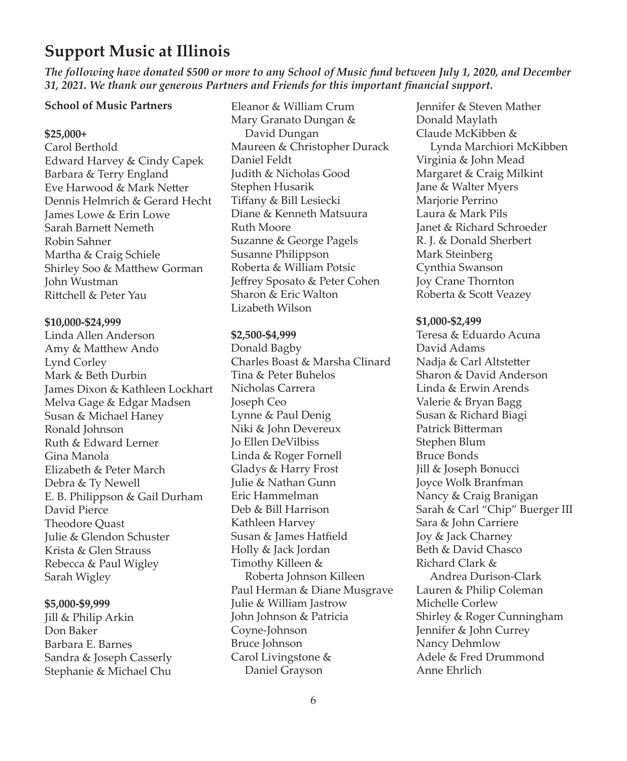# **Support Music at Illinois**

*The following have donated \$500 or more to any School of Music fund between July 1, 2020, and December 31, 2021. We thank our generous Partners and Friends for this important financial support.*

### **School of Music Partners**

#### **\$25,000+**

Carol Berthold Edward Harvey & Cindy Capek Barbara & Terry England Eve Harwood & Mark Netter Dennis Helmrich & Gerard Hecht James Lowe & Erin Lowe Sarah Barnett Nemeth Robin Sahner Martha & Craig Schiele Shirley Soo & Matthew Gorman John Wustman Rittchell & Peter Yau

#### **\$10,000-\$24,999**

Linda Allen Anderson Amy & Matthew Ando Lynd Corley Mark & Beth Durbin James Dixon & Kathleen Lockhart Melva Gage & Edgar Madsen Susan & Michael Haney Ronald Johnson Ruth & Edward Lerner Gina Manola Elizabeth & Peter March Debra & Ty Newell E. B. Philippson & Gail Durham David Pierce Theodore Quast Julie & Glendon Schuster Krista & Glen Strauss Rebecca & Paul Wigley Sarah Wigley

#### **\$5,000-\$9,999**

Jill & Philip Arkin Don Baker Barbara E. Barnes Sandra & Joseph Casserly Stephanie & Michael Chu

Eleanor & William Crum Mary Granato Dungan & David Dungan Maureen & Christopher Durack Daniel Feldt Judith & Nicholas Good Stephen Husarik Tiffany & Bill Lesiecki Diane & Kenneth Matsuura Ruth Moore Suzanne & George Pagels Susanne Philippson Roberta & William Potsic Jeffrey Sposato & Peter Cohen Sharon & Eric Walton Lizabeth Wilson

#### **\$2,500-\$4,999**

Donald Bagby Charles Boast & Marsha Clinard Tina & Peter Buhelos Nicholas Carrera Joseph Ceo Lynne & Paul Denig Niki & John Devereux Jo Ellen DeVilbiss Linda & Roger Fornell Gladys & Harry Frost Julie & Nathan Gunn Eric Hammelman Deb & Bill Harrison Kathleen Harvey Susan & James Hatfield Holly & Jack Jordan Timothy Killeen & Roberta Johnson Killeen Paul Herman & Diane Musgrave Julie & William Jastrow John Johnson & Patricia Coyne-Johnson Bruce Johnson Carol Livingstone & Daniel Grayson

Jennifer & Steven Mather Donald Maylath Claude McKibben & Lynda Marchiori McKibben Virginia & John Mead Margaret & Craig Milkint Jane & Walter Myers Marjorie Perrino Laura & Mark Pils Janet & Richard Schroeder R. J. & Donald Sherbert Mark Steinberg Cynthia Swanson Joy Crane Thornton Roberta & Scott Veazey

#### **\$1,000-\$2,499**

Teresa & Eduardo Acuna David Adams Nadja & Carl Altstetter Sharon & David Anderson Linda & Erwin Arends Valerie & Bryan Bagg Susan & Richard Biagi Patrick Bitterman Stephen Blum Bruce Bonds Jill & Joseph Bonucci Joyce Wolk Branfman Nancy & Craig Branigan Sarah & Carl "Chip" Buerger III Sara & John Carriere Joy & Jack Charney Beth & David Chasco Richard Clark & Andrea Durison-Clark Lauren & Philip Coleman Michelle Corlew Shirley & Roger Cunningham Jennifer & John Currey Nancy Dehmlow Adele & Fred Drummond Anne Ehrlich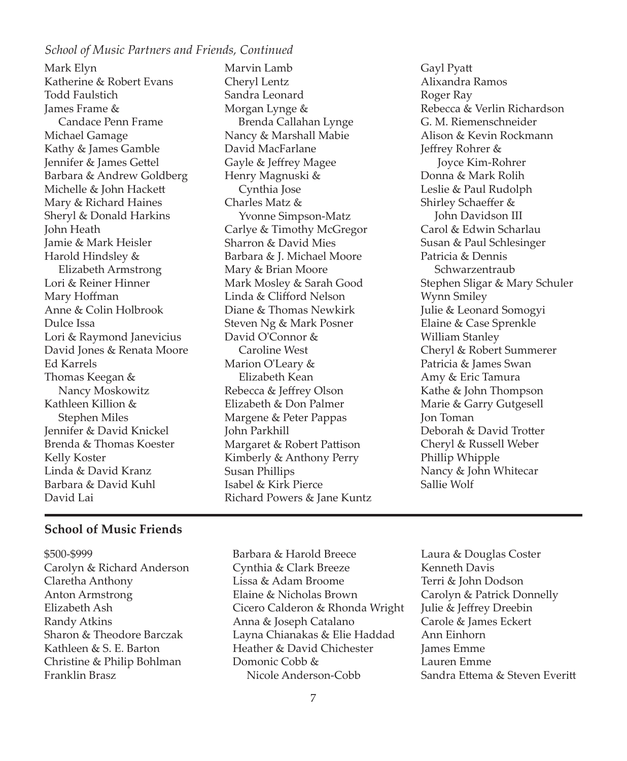## *School of Music Partners and Friends, Continued*

Mark Elyn Katherine & Robert Evans Todd Faulstich James Frame & Candace Penn Frame Michael Gamage Kathy & James Gamble Jennifer & James Gettel Barbara & Andrew Goldberg Michelle & John Hackett Mary & Richard Haines Sheryl & Donald Harkins John Heath Jamie & Mark Heisler Harold Hindsley & Elizabeth Armstrong Lori & Reiner Hinner Mary Hoffman Anne & Colin Holbrook Dulce Issa Lori & Raymond Janevicius David Jones & Renata Moore Ed Karrels Thomas Keegan & Nancy Moskowitz Kathleen Killion & Stephen Miles Jennifer & David Knickel Brenda & Thomas Koester Kelly Koster Linda & David Kranz Barbara & David Kuhl David Lai

Marvin Lamb Cheryl Lentz Sandra Leonard Morgan Lynge & Brenda Callahan Lynge Nancy & Marshall Mabie David MacFarlane Gayle & Jeffrey Magee Henry Magnuski & Cynthia Jose Charles Matz & Yvonne Simpson-Matz Carlye & Timothy McGregor Sharron & David Mies Barbara & J. Michael Moore Mary & Brian Moore Mark Mosley & Sarah Good Linda & Clifford Nelson Diane & Thomas Newkirk Steven Ng & Mark Posner David O'Connor & Caroline West Marion O'Leary & Elizabeth Kean Rebecca & Jeffrey Olson Elizabeth & Don Palmer Margene & Peter Pappas John Parkhill Margaret & Robert Pattison Kimberly & Anthony Perry Susan Phillips Isabel & Kirk Pierce Richard Powers & Jane Kuntz

Gayl Pyatt Alixandra Ramos Roger Ray Rebecca & Verlin Richardson G. M. Riemenschneider Alison & Kevin Rockmann Jeffrey Rohrer & Joyce Kim-Rohrer Donna & Mark Rolih Leslie & Paul Rudolph Shirley Schaeffer & John Davidson III Carol & Edwin Scharlau Susan & Paul Schlesinger Patricia & Dennis Schwarzentraub Stephen Sligar & Mary Schuler Wynn Smiley Julie & Leonard Somogyi Elaine & Case Sprenkle William Stanley Cheryl & Robert Summerer Patricia & James Swan Amy & Eric Tamura Kathe & John Thompson Marie & Garry Gutgesell Jon Toman Deborah & David Trotter Cheryl & Russell Weber Phillip Whipple Nancy & John Whitecar Sallie Wolf

## **School of Music Friends**

- \$500-\$999 Carolyn & Richard Anderson Claretha Anthony Anton Armstrong Elizabeth Ash Randy Atkins Sharon & Theodore Barczak Kathleen & S. E. Barton Christine & Philip Bohlman Franklin Brasz
- Barbara & Harold Breece Cynthia & Clark Breeze Lissa & Adam Broome Elaine & Nicholas Brown Cicero Calderon & Rhonda Wright Anna & Joseph Catalano Layna Chianakas & Elie Haddad Heather & David Chichester Domonic Cobb & Nicole Anderson-Cobb
- Laura & Douglas Coster Kenneth Davis Terri & John Dodson Carolyn & Patrick Donnelly Julie & Jeffrey Dreebin Carole & James Eckert Ann Einhorn James Emme Lauren Emme Sandra Ettema & Steven Everitt